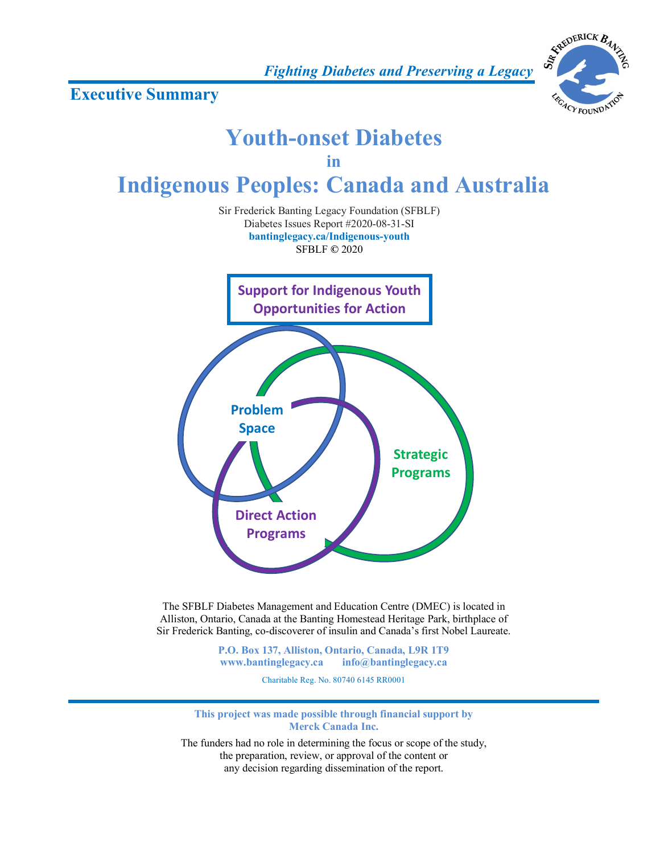*Fighting Diabetes and Preserving a Legacy*

**Executive Summary**



# **Support for Indigenous Youth Opportunities for Action Problem Space Direct Action Programs Strategic Programs Youth-onset Diabetes in Indigenous Peoples: Canada and Australia** Sir Frederick Banting Legacy Foundation (SFBLF) Diabetes Issues Report #2020-08-31-SI **bantinglegacy.ca/Indigenous-youth** SFBLF **©** 2020

The SFBLF Diabetes Management and Education Centre (DMEC) is located in Alliston, Ontario, Canada at the Banting Homestead Heritage Park, birthplace of Sir Frederick Banting, co-discoverer of insulin and Canada's first Nobel Laureate.

> **P.O. Box 137, Alliston, Ontario, Canada, L9R 1T9 www.bantinglegacy.ca info@bantinglegacy.ca**

> > Charitable Reg. No. 80740 6145 RR0001

**This project was made possible through financial support by Merck Canada Inc.**

The funders had no role in determining the focus or scope of the study, the preparation, review, or approval of the content or any decision regarding dissemination of the report.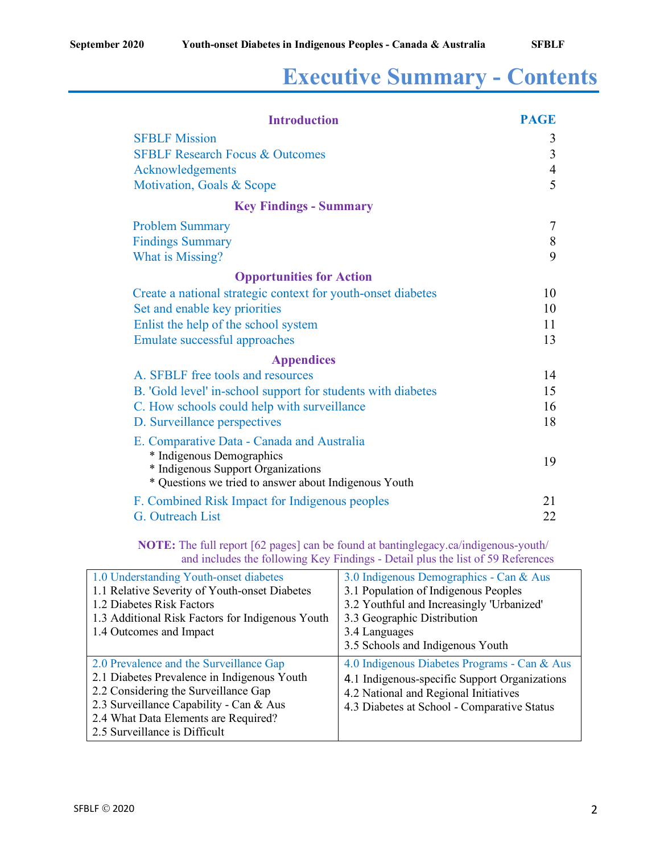# **Executive Summary - Contents**

| <b>Introduction</b>                                                                         | <b>PAGE</b>    |
|---------------------------------------------------------------------------------------------|----------------|
| <b>SFBLF Mission</b>                                                                        | 3              |
| <b>SFBLF Research Focus &amp; Outcomes</b>                                                  | $\overline{3}$ |
| Acknowledgements                                                                            | $\overline{4}$ |
| Motivation, Goals & Scope                                                                   | 5              |
| <b>Key Findings - Summary</b>                                                               |                |
| <b>Problem Summary</b>                                                                      | $\overline{7}$ |
| <b>Findings Summary</b>                                                                     | 8              |
| What is Missing?                                                                            | 9              |
| <b>Opportunities for Action</b>                                                             |                |
| Create a national strategic context for youth-onset diabetes                                | 10             |
| Set and enable key priorities                                                               | 10             |
| Enlist the help of the school system                                                        | 11             |
| Emulate successful approaches                                                               | 13             |
| <b>Appendices</b>                                                                           |                |
| A. SFBLF free tools and resources                                                           | 14             |
| B. 'Gold level' in-school support for students with diabetes                                | 15             |
| C. How schools could help with surveillance                                                 | 16             |
| D. Surveillance perspectives                                                                | 18             |
| E. Comparative Data - Canada and Australia                                                  |                |
| * Indigenous Demographics                                                                   | 19             |
| * Indigenous Support Organizations<br>* Questions we tried to answer about Indigenous Youth |                |
| F. Combined Risk Impact for Indigenous peoples                                              | 21             |
| G. Outreach List                                                                            | 22             |
|                                                                                             |                |

**NOTE:** The full report [62 pages] can be found at bantinglegacy.ca/indigenous-youth/ and includes the following Key Findings - Detail plus the list of 59 References

| 1.0 Understanding Youth-onset diabetes           | 3.0 Indigenous Demographics - Can & Aus       |
|--------------------------------------------------|-----------------------------------------------|
| 1.1 Relative Severity of Youth-onset Diabetes    | 3.1 Population of Indigenous Peoples          |
| 1.2 Diabetes Risk Factors                        | 3.2 Youthful and Increasingly 'Urbanized'     |
| 1.3 Additional Risk Factors for Indigenous Youth | 3.3 Geographic Distribution                   |
| 1.4 Outcomes and Impact                          | 3.4 Languages                                 |
|                                                  | 3.5 Schools and Indigenous Youth              |
|                                                  |                                               |
| 2.0 Prevalence and the Surveillance Gap          | 4.0 Indigenous Diabetes Programs - Can & Aus  |
| 2.1 Diabetes Prevalence in Indigenous Youth      |                                               |
| 2.2 Considering the Surveillance Gap             | 4.1 Indigenous-specific Support Organizations |
| 2.3 Surveillance Capability - Can & Aus          | 4.2 National and Regional Initiatives         |
| 2.4 What Data Elements are Required?             | 4.3 Diabetes at School - Comparative Status   |
|                                                  |                                               |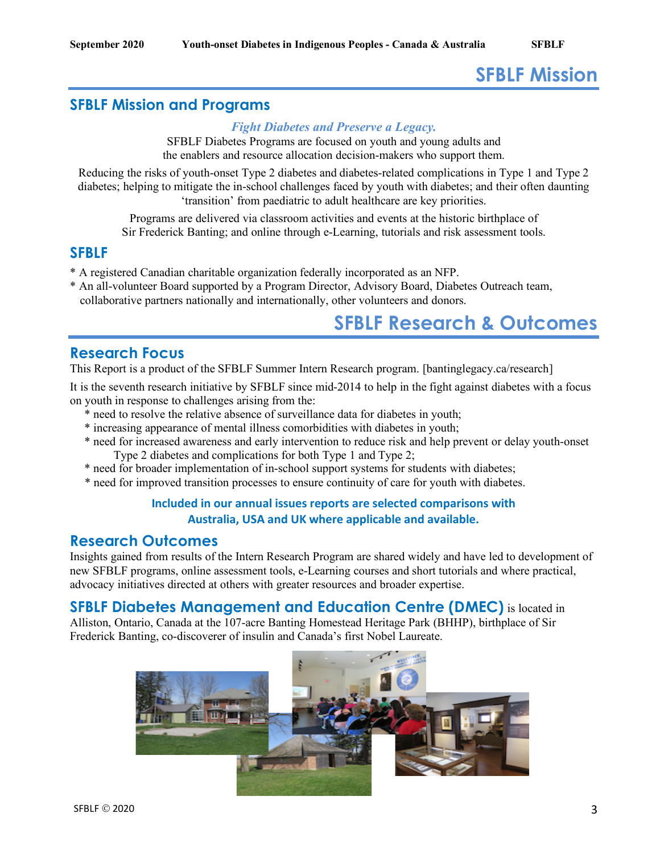# **SFBLF Mission**

## **SFBLF Mission and Programs**

#### *Fight Diabetes and Preserve a Legacy.*

SFBLF Diabetes Programs are focused on youth and young adults and the enablers and resource allocation decision-makers who support them.

Reducing the risks of youth-onset Type 2 diabetes and diabetes-related complications in Type 1 and Type 2 diabetes; helping to mitigate the in-school challenges faced by youth with diabetes; and their often daunting 'transition' from paediatric to adult healthcare are key priorities.

Programs are delivered via classroom activities and events at the historic birthplace of Sir Frederick Banting; and online through e-Learning, tutorials and risk assessment tools.

#### **SFBLF**

- \* A registered Canadian charitable organization federally incorporated as an NFP.
- \* An all-volunteer Board supported by a Program Director, Advisory Board, Diabetes Outreach team, collaborative partners nationally and internationally, other volunteers and donors.

# **SFBLF Research & Outcomes**

#### **Research Focus**

This Report is a product of the SFBLF Summer Intern Research program. [bantinglegacy.ca/research]

It is the seventh research initiative by SFBLF since mid-2014 to help in the fight against diabetes with a focus on youth in response to challenges arising from the:

- \* need to resolve the relative absence of surveillance data for diabetes in youth;
- \* increasing appearance of mental illness comorbidities with diabetes in youth;
- \* need for increased awareness and early intervention to reduce risk and help prevent or delay youth-onset Type 2 diabetes and complications for both Type 1 and Type 2;
- \* need for broader implementation of in-school support systems for students with diabetes;
- \* need for improved transition processes to ensure continuity of care for youth with diabetes.

#### **Included in our annual issues reports are selected comparisons with Australia, USA and UK where applicable and available.**

### **Research Outcomes**

Insights gained from results of the Intern Research Program are shared widely and have led to development of new SFBLF programs, online assessment tools, e-Learning courses and short tutorials and where practical, advocacy initiatives directed at others with greater resources and broader expertise.

#### **SFBLF Diabetes Management and Education Centre (DMEC)** is located in

Alliston, Ontario, Canada at the 107-acre Banting Homestead Heritage Park (BHHP), birthplace of Sir Frederick Banting, co-discoverer of insulin and Canada's first Nobel Laureate.

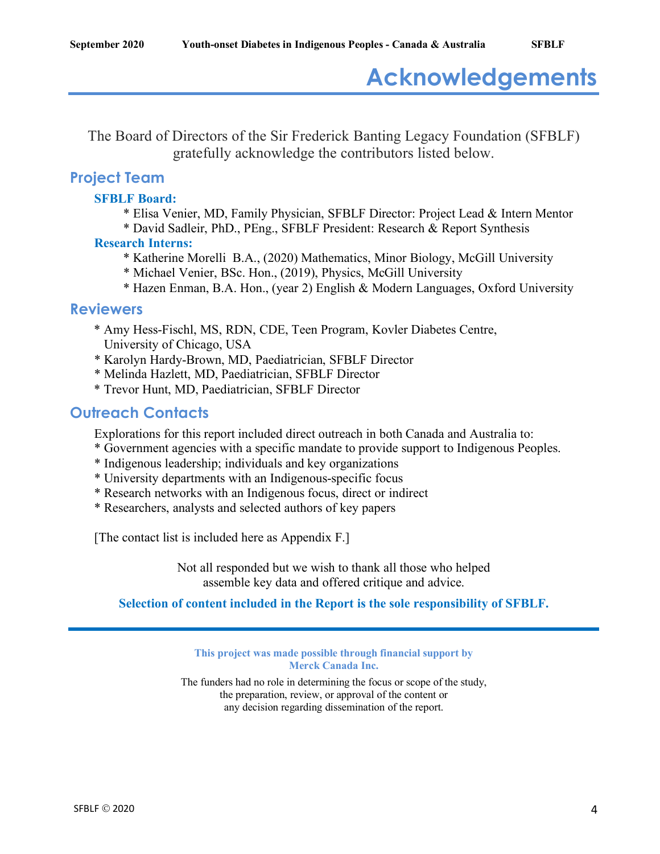# **Acknowledgements**

The Board of Directors of the Sir Frederick Banting Legacy Foundation (SFBLF) gratefully acknowledge the contributors listed below.

## **Project Team**

#### **SFBLF Board:**

- \* Elisa Venier, MD, Family Physician, SFBLF Director: Project Lead & Intern Mentor
- \* David Sadleir, PhD., PEng., SFBLF President: Research & Report Synthesis **Research Interns:**
	- \* Katherine Morelli B.A., (2020) Mathematics, Minor Biology, McGill University
	- \* Michael Venier, BSc. Hon., (2019), Physics, McGill University
	- \* Hazen Enman, B.A. Hon., (year 2) English & Modern Languages, Oxford University

#### **Reviewers**

- \* Amy Hess-Fischl, MS, RDN, CDE, Teen Program, Kovler Diabetes Centre, University of Chicago, USA
- \* Karolyn Hardy-Brown, MD, Paediatrician, SFBLF Director
- \* Melinda Hazlett, MD, Paediatrician, SFBLF Director
- \* Trevor Hunt, MD, Paediatrician, SFBLF Director

## **Outreach Contacts**

Explorations for this report included direct outreach in both Canada and Australia to:

- \* Government agencies with a specific mandate to provide support to Indigenous Peoples.
- \* Indigenous leadership; individuals and key organizations
- \* University departments with an Indigenous-specific focus
- \* Research networks with an Indigenous focus, direct or indirect
- \* Researchers, analysts and selected authors of key papers

[The contact list is included here as Appendix F.]

Not all responded but we wish to thank all those who helped assemble key data and offered critique and advice.

#### **Selection of content included in the Report is the sole responsibility of SFBLF.**

**This project was made possible through financial support by Merck Canada Inc.**

The funders had no role in determining the focus or scope of the study, the preparation, review, or approval of the content or any decision regarding dissemination of the report.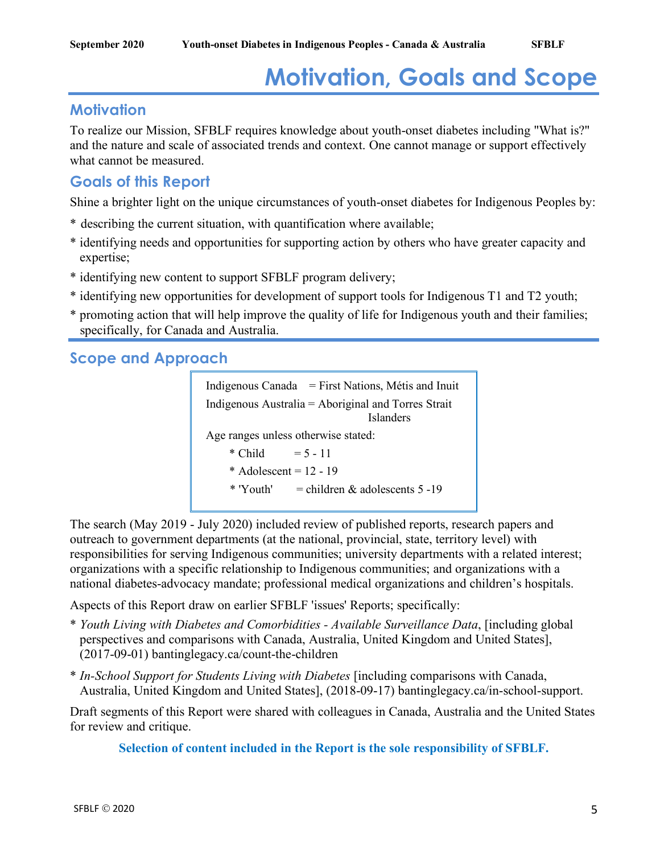# **Motivation, Goals and Scope**

## **Motivation**

To realize our Mission, SFBLF requires knowledge about youth-onset diabetes including "What is?" and the nature and scale of associated trends and context. One cannot manage or support effectively what cannot be measured.

## **Goals of this Report**

Shine a brighter light on the unique circumstances of youth-onset diabetes for Indigenous Peoples by:

- \* describing the current situation, with quantification where available;
- \* identifying needs and opportunities for supporting action by others who have greater capacity and expertise;
- \* identifying new content to support SFBLF program delivery;
- \* identifying new opportunities for development of support tools for Indigenous T1 and T2 youth;
- \* promoting action that will help improve the quality of life for Indigenous youth and their families; specifically, for Canada and Australia.

**Scope and Approach**

```
Indigenous Canada = First Nations, Métis and Inuit
Indigenous Australia = Aboriginal and Torres Strait 
                                Islanders 
Age ranges unless otherwise stated:
    * Child = 5 - 11* Adolescent = 12 - 19
    * 'Youth' = children & adolescents 5 - 19
```
The search (May 2019 - July 2020) included review of published reports, research papers and outreach to government departments (at the national, provincial, state, territory level) with responsibilities for serving Indigenous communities; university departments with a related interest; organizations with a specific relationship to Indigenous communities; and organizations with a national diabetes-advocacy mandate; professional medical organizations and children's hospitals.

Aspects of this Report draw on earlier SFBLF 'issues' Reports; specifically:

- \* *Youth Living with Diabetes and Comorbidities - Available Surveillance Data*, [including global perspectives and comparisons with Canada, Australia, United Kingdom and United States], (2017-09-01) bantinglegacy.ca/count-the-children
- \* *In-School Support for Students Living with Diabetes* [including comparisons with Canada, Australia, United Kingdom and United States], (2018-09-17) bantinglegacy.ca/in-school-support.

Draft segments of this Report were shared with colleagues in Canada, Australia and the United States for review and critique.

**Selection of content included in the Report is the sole responsibility of SFBLF.**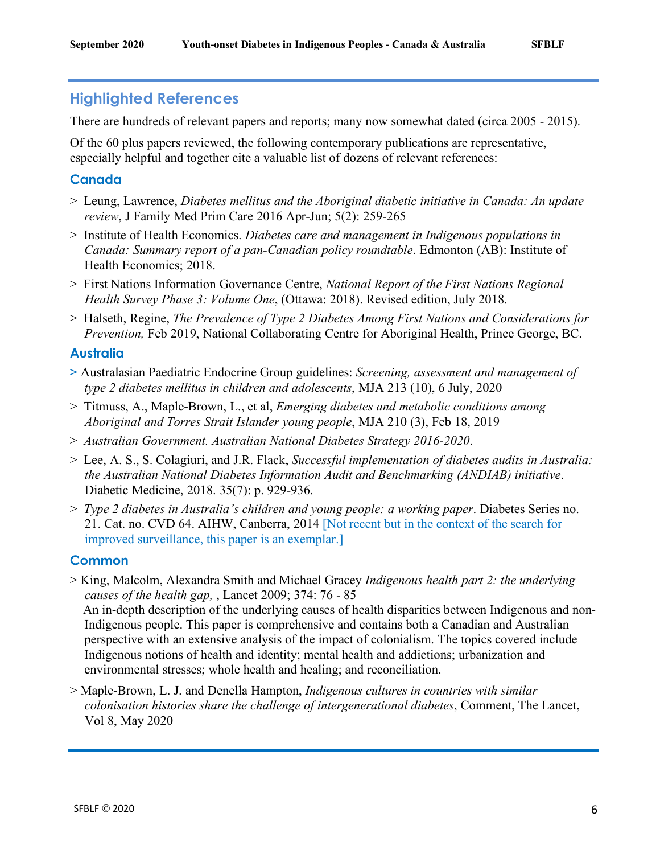## **Highlighted References**

There are hundreds of relevant papers and reports; many now somewhat dated (circa 2005 - 2015).

Of the 60 plus papers reviewed, the following contemporary publications are representative, especially helpful and together cite a valuable list of dozens of relevant references:

### **Canada**

- > Leung, Lawrence, *Diabetes mellitus and the Aboriginal diabetic initiative in Canada: An update review*, J Family Med Prim Care 2016 Apr-Jun; 5(2): 259-265
- > Institute of Health Economics. *Diabetes care and management in Indigenous populations in Canada: Summary report of a pan-Canadian policy roundtable*. Edmonton (AB): Institute of Health Economics; 2018.
- > First Nations Information Governance Centre, *National Report of the First Nations Regional Health Survey Phase 3: Volume One*, (Ottawa: 2018). Revised edition, July 2018.
- > Halseth, Regine, *The Prevalence of Type 2 Diabetes Among First Nations and Considerations for Prevention,* Feb 2019, National Collaborating Centre for Aboriginal Health, Prince George, BC.

#### **Australia**

- **>** Australasian Paediatric Endocrine Group guidelines: *Screening, assessment and management of type 2 diabetes mellitus in children and adolescents*, MJA 213 (10), 6 July, 2020
- > Titmuss, A., Maple-Brown, L., et al, *Emerging diabetes and metabolic conditions among Aboriginal and Torres Strait Islander young people*, MJA 210 (3), Feb 18, 2019
- > *Australian Government. Australian National Diabetes Strategy 2016-2020*.
- > Lee, A. S., S. Colagiuri, and J.R. Flack, *Successful implementation of diabetes audits in Australia: the Australian National Diabetes Information Audit and Benchmarking (ANDIAB) initiative*. Diabetic Medicine, 2018. 35(7): p. 929-936.
- > *Type 2 diabetes in Australia's children and young people: a working paper*. Diabetes Series no. 21. Cat. no. CVD 64. AIHW, Canberra, 2014 [Not recent but in the context of the search for improved surveillance, this paper is an exemplar.]

#### **Common**

- > King, Malcolm, Alexandra Smith and Michael Gracey *Indigenous health part 2: the underlying causes of the health gap,* , Lancet 2009; 374: 76 - 85 An in-depth description of the underlying causes of health disparities between Indigenous and non-Indigenous people. This paper is comprehensive and contains both a Canadian and Australian perspective with an extensive analysis of the impact of colonialism. The topics covered include Indigenous notions of health and identity; mental health and addictions; urbanization and environmental stresses; whole health and healing; and reconciliation.
- > Maple-Brown, L. J. and Denella Hampton, *Indigenous cultures in countries with similar colonisation histories share the challenge of intergenerational diabetes*, Comment, The Lancet, Vol 8, May 2020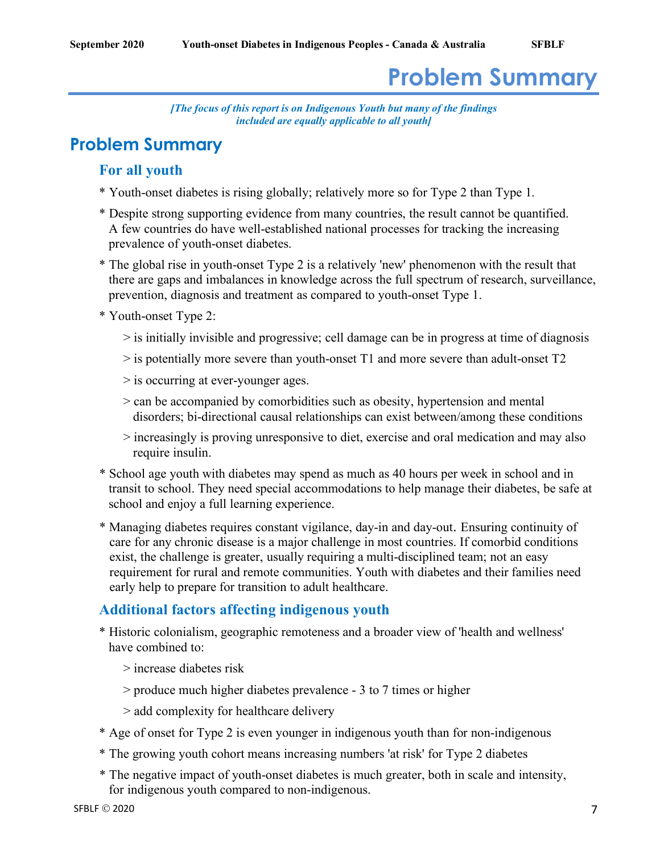# **Problem Summary**

*[The focus of this report is on Indigenous Youth but many of the findings included are equally applicable to all youth]*

# **Problem Summary**

## **For all youth**

- \* Youth-onset diabetes is rising globally; relatively more so for Type 2 than Type 1.
- \* Despite strong supporting evidence from many countries, the result cannot be quantified. A few countries do have well-established national processes for tracking the increasing prevalence of youth-onset diabetes.
- \* The global rise in youth-onset Type 2 is a relatively 'new' phenomenon with the result that there are gaps and imbalances in knowledge across the full spectrum of research, surveillance, prevention, diagnosis and treatment as compared to youth-onset Type 1.
- \* Youth-onset Type 2:
	- > is initially invisible and progressive; cell damage can be in progress at time of diagnosis
	- > is potentially more severe than youth-onset T1 and more severe than adult-onset T2
	- > is occurring at ever-younger ages.
	- > can be accompanied by comorbidities such as obesity, hypertension and mental disorders; bi-directional causal relationships can exist between/among these conditions
	- > increasingly is proving unresponsive to diet, exercise and oral medication and may also require insulin.
- \* School age youth with diabetes may spend as much as 40 hours per week in school and in transit to school. They need special accommodations to help manage their diabetes, be safe at school and enjoy a full learning experience.
- \* Managing diabetes requires constant vigilance, day-in and day-out. Ensuring continuity of care for any chronic disease is a major challenge in most countries. If comorbid conditions exist, the challenge is greater, usually requiring a multi-disciplined team; not an easy requirement for rural and remote communities. Youth with diabetes and their families need early help to prepare for transition to adult healthcare.

## **Additional factors affecting indigenous youth**

- \* Historic colonialism, geographic remoteness and a broader view of 'health and wellness' have combined to:
	- > increase diabetes risk
	- > produce much higher diabetes prevalence 3 to 7 times or higher
	- > add complexity for healthcare delivery
- \* Age of onset for Type 2 is even younger in indigenous youth than for non-indigenous
- \* The growing youth cohort means increasing numbers 'at risk' for Type 2 diabetes
- \* The negative impact of youth-onset diabetes is much greater, both in scale and intensity, for indigenous youth compared to non-indigenous.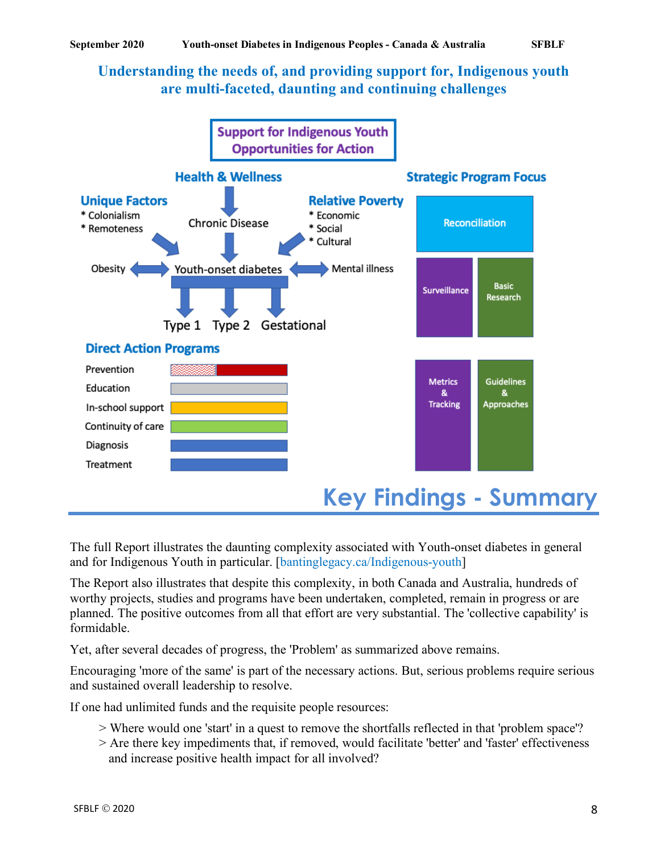## **Understanding the needs of, and providing support for, Indigenous youth are multi-faceted, daunting and continuing challenges**



The full Report illustrates the daunting complexity associated with Youth-onset diabetes in general and for Indigenous Youth in particular. [bantinglegacy.ca/Indigenous-youth]

The Report also illustrates that despite this complexity, in both Canada and Australia, hundreds of worthy projects, studies and programs have been undertaken, completed, remain in progress or are planned. The positive outcomes from all that effort are very substantial. The 'collective capability' is formidable.

Yet, after several decades of progress, the 'Problem' as summarized above remains.

Encouraging 'more of the same' is part of the necessary actions. But, serious problems require serious and sustained overall leadership to resolve.

If one had unlimited funds and the requisite people resources:

- > Where would one 'start' in a quest to remove the shortfalls reflected in that 'problem space'?
- > Are there key impediments that, if removed, would facilitate 'better' and 'faster' effectiveness and increase positive health impact for all involved?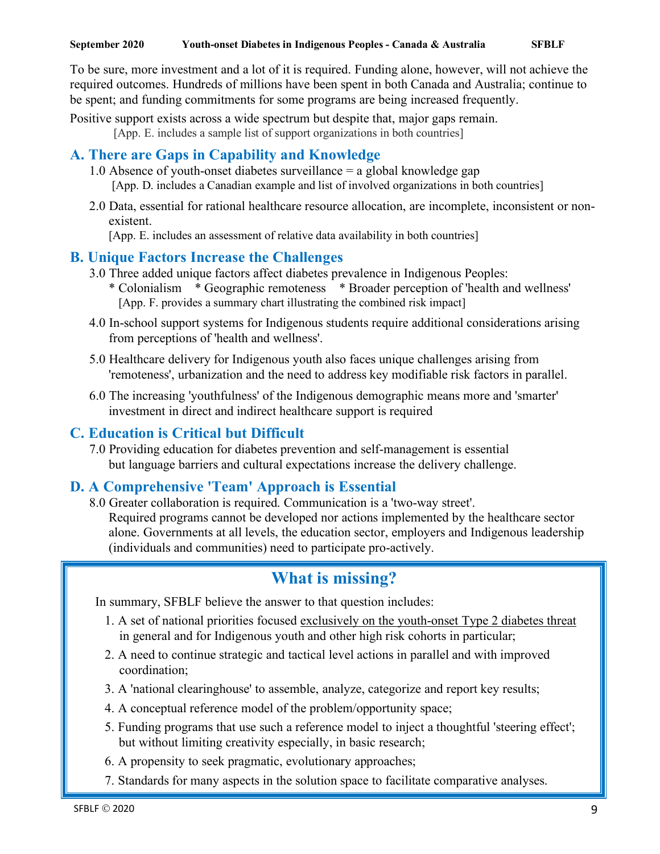To be sure, more investment and a lot of it is required. Funding alone, however, will not achieve the required outcomes. Hundreds of millions have been spent in both Canada and Australia; continue to be spent; and funding commitments for some programs are being increased frequently.

Positive support exists across a wide spectrum but despite that, major gaps remain.

[App. E. includes a sample list of support organizations in both countries]

## **A. There are Gaps in Capability and Knowledge**

- 1.0 Absence of youth-onset diabetes surveillance = a global knowledge gap [App. D. includes a Canadian example and list of involved organizations in both countries]
- 2.0 Data, essential for rational healthcare resource allocation, are incomplete, inconsistent or nonexistent.

[App. E. includes an assessment of relative data availability in both countries]

## **B. Unique Factors Increase the Challenges**

- 3.0 Three added unique factors affect diabetes prevalence in Indigenous Peoples: \* Colonialism \* Geographic remoteness \* Broader perception of 'health and wellness' [App. F. provides a summary chart illustrating the combined risk impact]
- 4.0 In-school support systems for Indigenous students require additional considerations arising from perceptions of 'health and wellness'.
- 5.0 Healthcare delivery for Indigenous youth also faces unique challenges arising from 'remoteness', urbanization and the need to address key modifiable risk factors in parallel.
- 6.0 The increasing 'youthfulness' of the Indigenous demographic means more and 'smarter' investment in direct and indirect healthcare support is required

## **C. Education is Critical but Difficult**

7.0 Providing education for diabetes prevention and self-management is essential but language barriers and cultural expectations increase the delivery challenge.

## **D. A Comprehensive 'Team' Approach is Essential**

8.0 Greater collaboration is required. Communication is a 'two-way street'. Required programs cannot be developed nor actions implemented by the healthcare sector alone. Governments at all levels, the education sector, employers and Indigenous leadership (individuals and communities) need to participate pro-actively.

# **What is missing?**

In summary, SFBLF believe the answer to that question includes:

- 1. A set of national priorities focused exclusively on the youth-onset Type 2 diabetes threat in general and for Indigenous youth and other high risk cohorts in particular;
- 2. A need to continue strategic and tactical level actions in parallel and with improved coordination;
- 3. A 'national clearinghouse' to assemble, analyze, categorize and report key results;
- 4. A conceptual reference model of the problem/opportunity space;
- 5. Funding programs that use such a reference model to inject a thoughtful 'steering effect'; but without limiting creativity especially, in basic research;
- 6. A propensity to seek pragmatic, evolutionary approaches;
- 7. Standards for many aspects in the solution space to facilitate comparative analyses.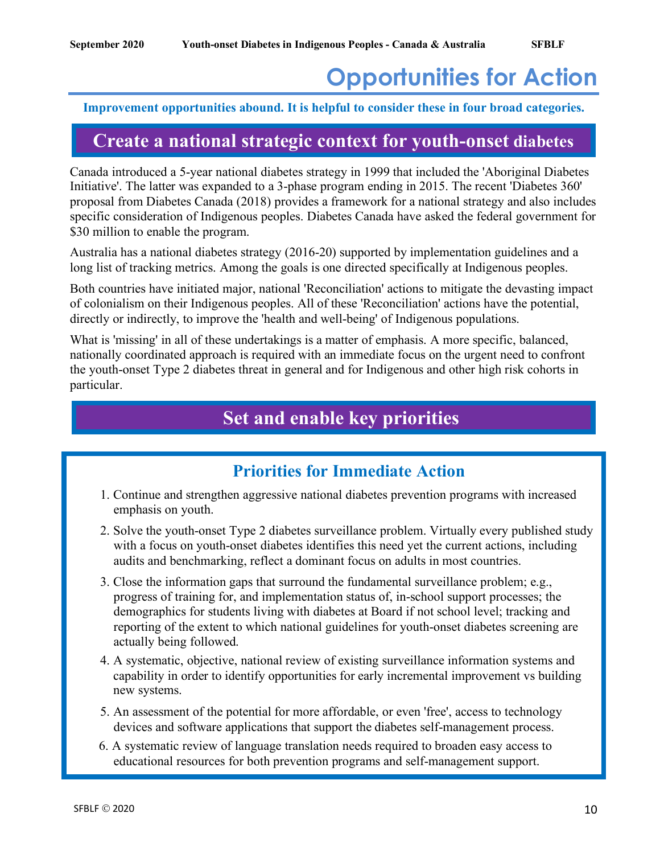# **Opportunities for Action**

#### **Improvement opportunities abound. It is helpful to consider these in four broad categories.**

# **Create a national strategic context for youth-onset diabetes**

Canada introduced a 5-year national diabetes strategy in 1999 that included the 'Aboriginal Diabetes Initiative'. The latter was expanded to a 3-phase program ending in 2015. The recent 'Diabetes 360' proposal from Diabetes Canada (2018) provides a framework for a national strategy and also includes specific consideration of Indigenous peoples. Diabetes Canada have asked the federal government for \$30 million to enable the program.

Australia has a national diabetes strategy (2016-20) supported by implementation guidelines and a long list of tracking metrics. Among the goals is one directed specifically at Indigenous peoples.

Both countries have initiated major, national 'Reconciliation' actions to mitigate the devasting impact of colonialism on their Indigenous peoples. All of these 'Reconciliation' actions have the potential, directly or indirectly, to improve the 'health and well-being' of Indigenous populations.

What is 'missing' in all of these undertakings is a matter of emphasis. A more specific, balanced, nationally coordinated approach is required with an immediate focus on the urgent need to confront the youth-onset Type 2 diabetes threat in general and for Indigenous and other high risk cohorts in particular.

# **Set and enable key priorities**

## **Priorities for Immediate Action**

- 1. Continue and strengthen aggressive national diabetes prevention programs with increased emphasis on youth.
- 2. Solve the youth-onset Type 2 diabetes surveillance problem. Virtually every published study with a focus on youth-onset diabetes identifies this need yet the current actions, including audits and benchmarking, reflect a dominant focus on adults in most countries.
- 3. Close the information gaps that surround the fundamental surveillance problem; e.g., progress of training for, and implementation status of, in-school support processes; the demographics for students living with diabetes at Board if not school level; tracking and reporting of the extent to which national guidelines for youth-onset diabetes screening are actually being followed.
- 4. A systematic, objective, national review of existing surveillance information systems and capability in order to identify opportunities for early incremental improvement vs building new systems.
- 5. An assessment of the potential for more affordable, or even 'free', access to technology devices and software applications that support the diabetes self-management process.
- 6. A systematic review of language translation needs required to broaden easy access to educational resources for both prevention programs and self-management support.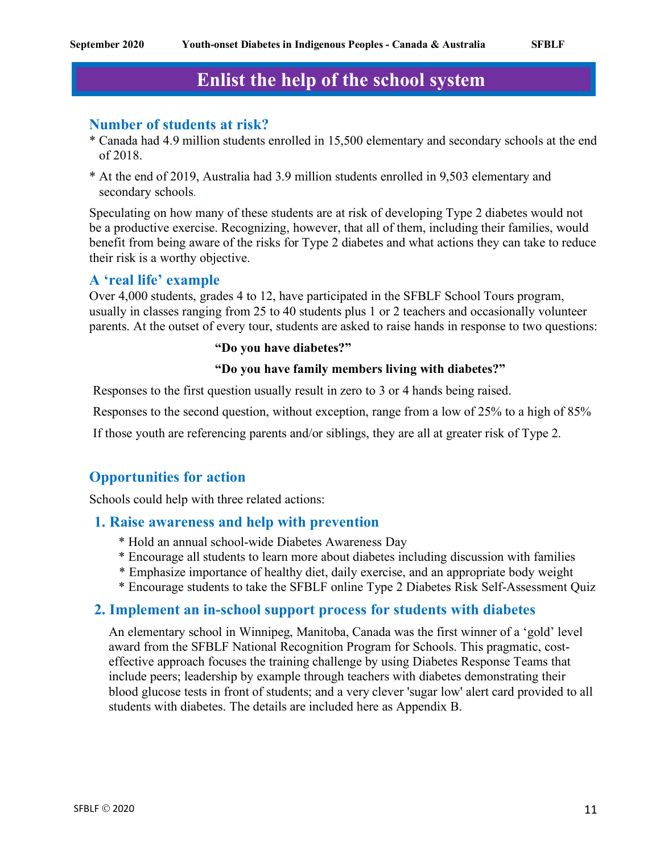# **Enlist the help of the school system**

#### **Number of students at risk?**

- \* Canada had 4.9 million students enrolled in 15,500 elementary and secondary schools at the end of 2018.
- \* At the end of 2019, Australia had 3.9 million students enrolled in 9,503 elementary and secondary schools.

Speculating on how many of these students are at risk of developing Type 2 diabetes would not be a productive exercise. Recognizing, however, that all of them, including their families, would benefit from being aware of the risks for Type 2 diabetes and what actions they can take to reduce their risk is a worthy objective.

#### **A 'real life' example**

Over 4,000 students, grades 4 to 12, have participated in the SFBLF School Tours program, usually in classes ranging from 25 to 40 students plus 1 or 2 teachers and occasionally volunteer parents. At the outset of every tour, students are asked to raise hands in response to two questions:

#### **"Do you have diabetes?"**

#### **"Do you have family members living with diabetes?"**

Responses to the first question usually result in zero to 3 or 4 hands being raised.

Responses to the second question, without exception, range from a low of 25% to a high of 85%

If those youth are referencing parents and/or siblings, they are all at greater risk of Type 2.

### **Opportunities for action**

Schools could help with three related actions:

#### **1. Raise awareness and help with prevention**

- \* Hold an annual school-wide Diabetes Awareness Day
- \* Encourage all students to learn more about diabetes including discussion with families
- \* Emphasize importance of healthy diet, daily exercise, and an appropriate body weight
- \* Encourage students to take the SFBLF online Type 2 Diabetes Risk Self-Assessment Quiz

#### **2. Implement an in-school support process for students with diabetes**

An elementary school in Winnipeg, Manitoba, Canada was the first winner of a 'gold' level award from the SFBLF National Recognition Program for Schools. This pragmatic, costeffective approach focuses the training challenge by using Diabetes Response Teams that include peers; leadership by example through teachers with diabetes demonstrating their blood glucose tests in front of students; and a very clever 'sugar low' alert card provided to all students with diabetes. The details are included here as Appendix B.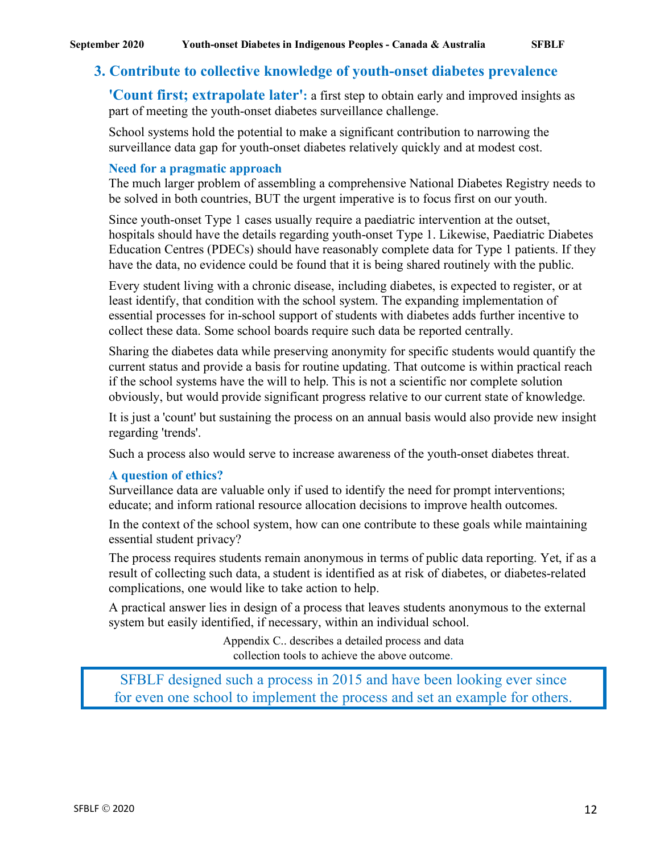### **3. Contribute to collective knowledge of youth-onset diabetes prevalence**

**'Count first; extrapolate later':** a first step to obtain early and improved insights as part of meeting the youth-onset diabetes surveillance challenge.

School systems hold the potential to make a significant contribution to narrowing the surveillance data gap for youth-onset diabetes relatively quickly and at modest cost.

#### **Need for a pragmatic approach**

The much larger problem of assembling a comprehensive National Diabetes Registry needs to be solved in both countries, BUT the urgent imperative is to focus first on our youth.

Since youth-onset Type 1 cases usually require a paediatric intervention at the outset, hospitals should have the details regarding youth-onset Type 1. Likewise, Paediatric Diabetes Education Centres (PDECs) should have reasonably complete data for Type 1 patients. If they have the data, no evidence could be found that it is being shared routinely with the public.

Every student living with a chronic disease, including diabetes, is expected to register, or at least identify, that condition with the school system. The expanding implementation of essential processes for in-school support of students with diabetes adds further incentive to collect these data. Some school boards require such data be reported centrally.

Sharing the diabetes data while preserving anonymity for specific students would quantify the current status and provide a basis for routine updating. That outcome is within practical reach if the school systems have the will to help. This is not a scientific nor complete solution obviously, but would provide significant progress relative to our current state of knowledge.

It is just a 'count' but sustaining the process on an annual basis would also provide new insight regarding 'trends'.

Such a process also would serve to increase awareness of the youth-onset diabetes threat.

#### **A question of ethics?**

Surveillance data are valuable only if used to identify the need for prompt interventions; educate; and inform rational resource allocation decisions to improve health outcomes.

In the context of the school system, how can one contribute to these goals while maintaining essential student privacy?

The process requires students remain anonymous in terms of public data reporting. Yet, if as a result of collecting such data, a student is identified as at risk of diabetes, or diabetes-related complications, one would like to take action to help.

A practical answer lies in design of a process that leaves students anonymous to the external system but easily identified, if necessary, within an individual school.

> Appendix C.. describes a detailed process and data collection tools to achieve the above outcome.

SFBLF designed such a process in 2015 and have been looking ever since for even one school to implement the process and set an example for others.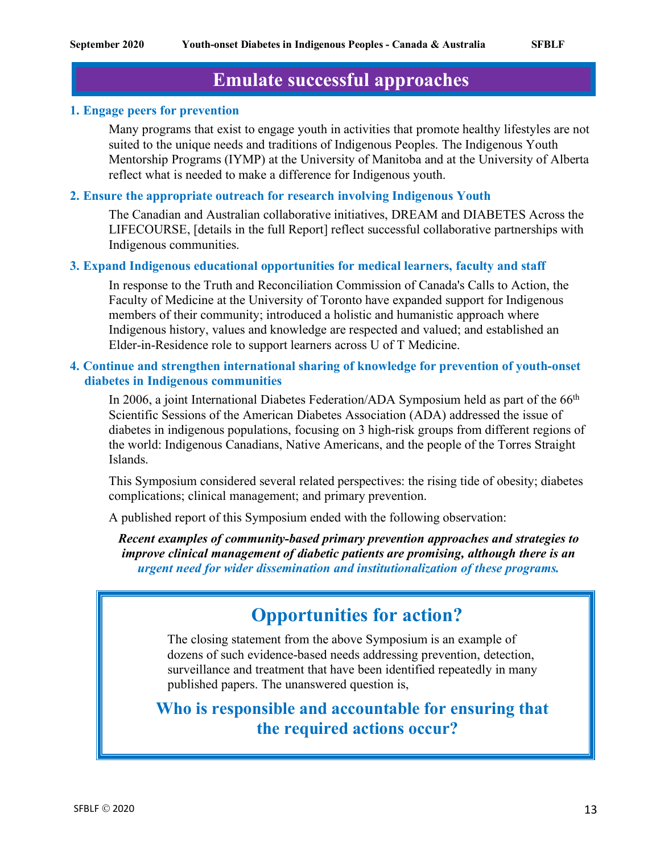# **Emulate successful approaches**

#### **1. Engage peers for prevention**

Many programs that exist to engage youth in activities that promote healthy lifestyles are not suited to the unique needs and traditions of Indigenous Peoples. The Indigenous Youth Mentorship Programs (IYMP) at the University of Manitoba and at the University of Alberta reflect what is needed to make a difference for Indigenous youth.

#### **2. Ensure the appropriate outreach for research involving Indigenous Youth**

The Canadian and Australian collaborative initiatives, DREAM and DIABETES Across the LIFECOURSE, [details in the full Report] reflect successful collaborative partnerships with Indigenous communities.

#### **3. Expand Indigenous educational opportunities for medical learners, faculty and staff**

In response to the Truth and Reconciliation Commission of Canada's Calls to Action, the Faculty of Medicine at the University of Toronto have expanded support for Indigenous members of their community; introduced a holistic and humanistic approach where Indigenous history, values and knowledge are respected and valued; and established an Elder-in-Residence role to support learners across U of T Medicine.

#### **4. Continue and strengthen international sharing of knowledge for prevention of youth-onset diabetes in Indigenous communities**

In 2006, a joint International Diabetes Federation/ADA Symposium held as part of the 66<sup>th</sup> Scientific Sessions of the American Diabetes Association (ADA) addressed the issue of diabetes in indigenous populations, focusing on 3 high-risk groups from different regions of the world: Indigenous Canadians, Native Americans, and the people of the Torres Straight Islands.

This Symposium considered several related perspectives: the rising tide of obesity; diabetes complications; clinical management; and primary prevention.

A published report of this Symposium ended with the following observation:

*Recent examples of community-based primary prevention approaches and strategies to improve clinical management of diabetic patients are promising, although there is an urgent need for wider dissemination and institutionalization of these programs.*

# **Opportunities for action?**

The closing statement from the above Symposium is an example of dozens of such evidence-based needs addressing prevention, detection, surveillance and treatment that have been identified repeatedly in many published papers. The unanswered question is,

**Who is responsible and accountable for ensuring that the required actions occur?**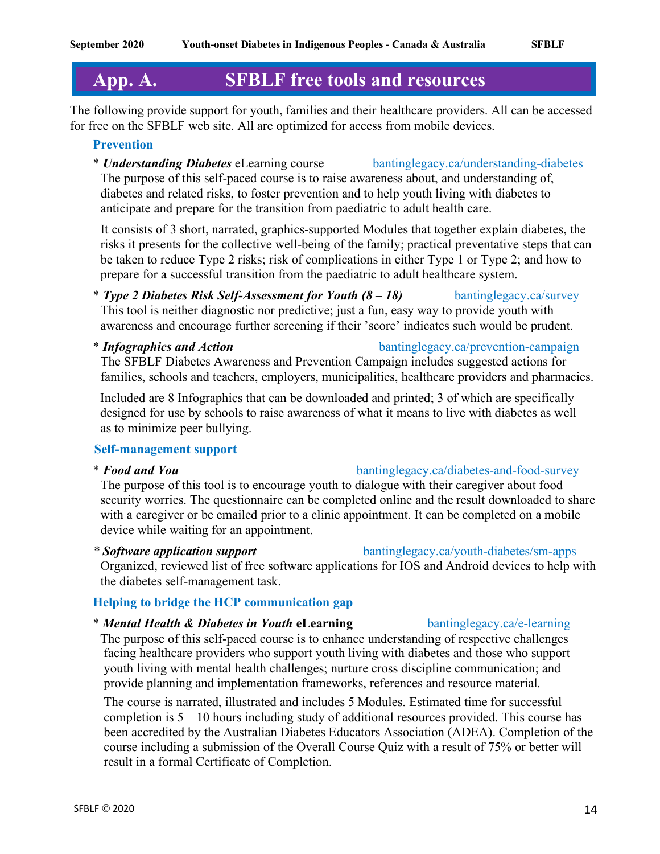# **App. A. SFBLF free tools and resources**

The following provide support for youth, families and their healthcare providers. All can be accessed for free on the SFBLF web site. All are optimized for access from mobile devices.

#### **Prevention**

\* *Understanding Diabetes* eLearning course bantinglegacy.ca/understanding-diabetes The purpose of this self-paced course is to raise awareness about, and understanding of, diabetes and related risks, to foster prevention and to help youth living with diabetes to anticipate and prepare for the transition from paediatric to adult health care.

It consists of 3 short, narrated, graphics-supported Modules that together explain diabetes, the risks it presents for the collective well-being of the family; practical preventative steps that can be taken to reduce Type 2 risks; risk of complications in either Type 1 or Type 2; and how to prepare for a successful transition from the paediatric to adult healthcare system.

- \* *Type 2 Diabetes Risk Self-Assessment for Youth (8 – 18)* bantinglegacy.ca/survey This tool is neither diagnostic nor predictive; just a fun, easy way to provide youth with awareness and encourage further screening if their 'score' indicates such would be prudent.
- \* *Infographics and Action* bantinglegacy.ca/prevention-campaign The SFBLF Diabetes Awareness and Prevention Campaign includes suggested actions for families, schools and teachers, employers, municipalities, healthcare providers and pharmacies.

Included are 8 Infographics that can be downloaded and printed; 3 of which are specifically designed for use by schools to raise awareness of what it means to live with diabetes as well as to minimize peer bullying.

### **Self-management support**

The purpose of this tool is to encourage youth to dialogue with their caregiver about food security worries. The questionnaire can be completed online and the result downloaded to share with a caregiver or be emailed prior to a clinic appointment. It can be completed on a mobile device while waiting for an appointment.

Organized, reviewed list of free software applications for IOS and Android devices to help with the diabetes self-management task.

### **Helping to bridge the HCP communication gap**

#### \* *Mental Health & Diabetes in Youth* **eLearning** bantinglegacy.ca/e-learning

The purpose of this self-paced course is to enhance understanding of respective challenges facing healthcare providers who support youth living with diabetes and those who support youth living with mental health challenges; nurture cross discipline communication; and provide planning and implementation frameworks, references and resource material.

The course is narrated, illustrated and includes 5 Modules. Estimated time for successful completion is 5 – 10 hours including study of additional resources provided. This course has been accredited by the Australian Diabetes Educators Association (ADEA). Completion of the course including a submission of the Overall Course Quiz with a result of 75% or better will result in a formal Certificate of Completion.

# \* *Food and You* bantinglegacy.ca/diabetes-and-food-survey

## *\* Software application support* bantinglegacy.ca/youth-diabetes/sm-apps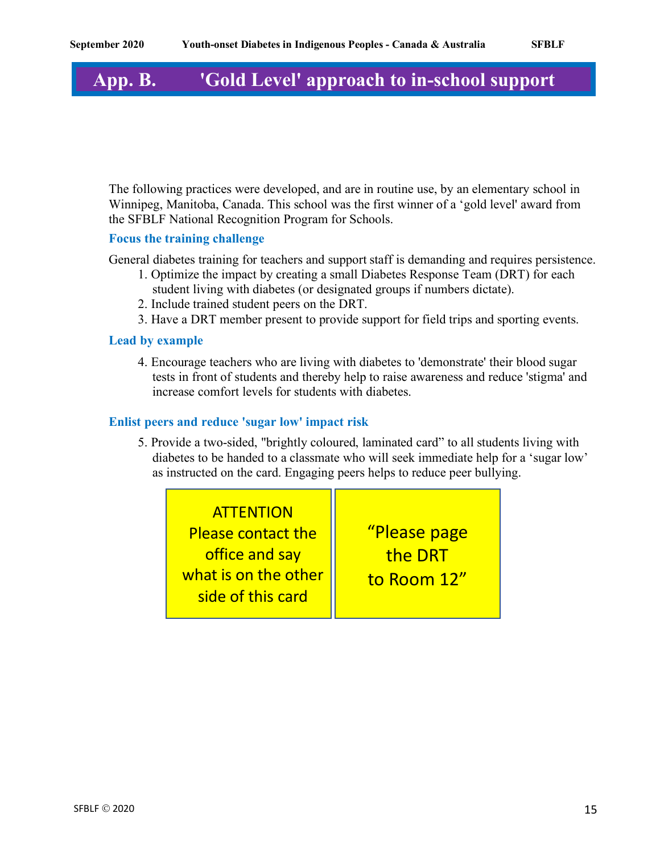# **App. B. 'Gold Level' approach to in-school support**

The following practices were developed, and are in routine use, by an elementary school in Winnipeg, Manitoba, Canada. This school was the first winner of a 'gold level' award from the SFBLF National Recognition Program for Schools.

#### **Focus the training challenge**

General diabetes training for teachers and support staff is demanding and requires persistence.

- 1. Optimize the impact by creating a small Diabetes Response Team (DRT) for each student living with diabetes (or designated groups if numbers dictate).
- 2. Include trained student peers on the DRT.
- 3. Have a DRT member present to provide support for field trips and sporting events.

#### **Lead by example**

4. Encourage teachers who are living with diabetes to 'demonstrate' their blood sugar tests in front of students and thereby help to raise awareness and reduce 'stigma' and increase comfort levels for students with diabetes.

#### **Enlist peers and reduce 'sugar low' impact risk**

5. Provide a two-sided, "brightly coloured, laminated card" to all students living with diabetes to be handed to a classmate who will seek immediate help for a 'sugar low' as instructed on the card. Engaging peers helps to reduce peer bullying.

**ATTENTION** Please contact the office and say what is on the other side of this card

"Please page the DRT to Room 12"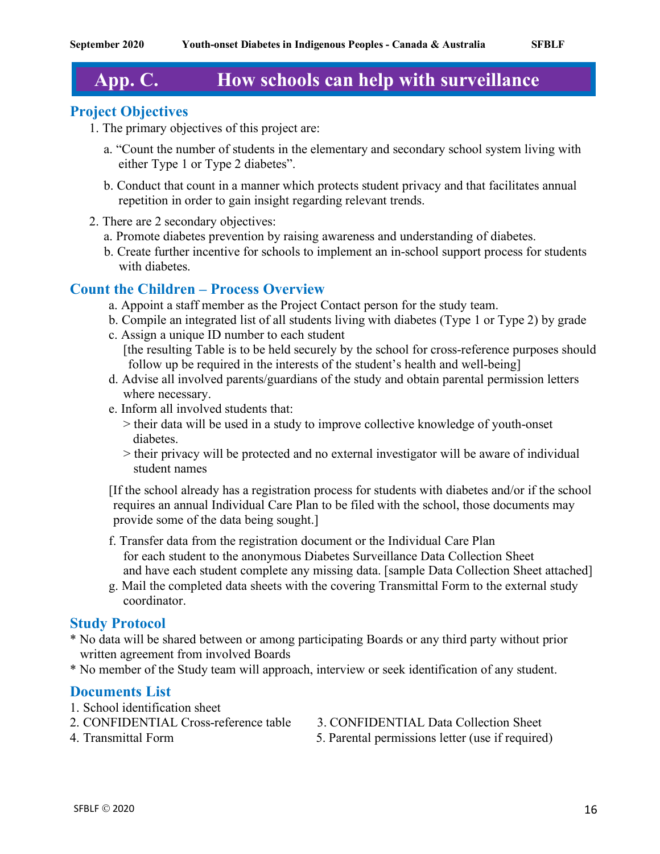# **App. C. How schools can help with surveillance**

## **Project Objectives**

- 1. The primary objectives of this project are:
	- a. "Count the number of students in the elementary and secondary school system living with either Type 1 or Type 2 diabetes".
	- b. Conduct that count in a manner which protects student privacy and that facilitates annual repetition in order to gain insight regarding relevant trends.
- 2. There are 2 secondary objectives:
	- a. Promote diabetes prevention by raising awareness and understanding of diabetes.
	- b. Create further incentive for schools to implement an in-school support process for students with diabetes.

## **Count the Children – Process Overview**

- a. Appoint a staff member as the Project Contact person for the study team.
- b. Compile an integrated list of all students living with diabetes (Type 1 or Type 2) by grade
- c. Assign a unique ID number to each student [the resulting Table is to be held securely by the school for cross-reference purposes should follow up be required in the interests of the student's health and well-being]
- d. Advise all involved parents/guardians of the study and obtain parental permission letters where necessary.
- e. Inform all involved students that:
	- > their data will be used in a study to improve collective knowledge of youth-onset diabetes.
	- > their privacy will be protected and no external investigator will be aware of individual student names

[If the school already has a registration process for students with diabetes and/or if the school requires an annual Individual Care Plan to be filed with the school, those documents may provide some of the data being sought.]

- f. Transfer data from the registration document or the Individual Care Plan for each student to the anonymous Diabetes Surveillance Data Collection Sheet and have each student complete any missing data. [sample Data Collection Sheet attached]
- g. Mail the completed data sheets with the covering Transmittal Form to the external study coordinator.

#### **Study Protocol**

- \* No data will be shared between or among participating Boards or any third party without prior written agreement from involved Boards
- \* No member of the Study team will approach, interview or seek identification of any student.

### **Documents List**

- 1. School identification sheet
- 2. CONFIDENTIAL Cross-reference table 3. CONFIDENTIAL Data Collection Sheet
	-
- 
- 4. Transmittal Form 5. Parental permissions letter (use if required)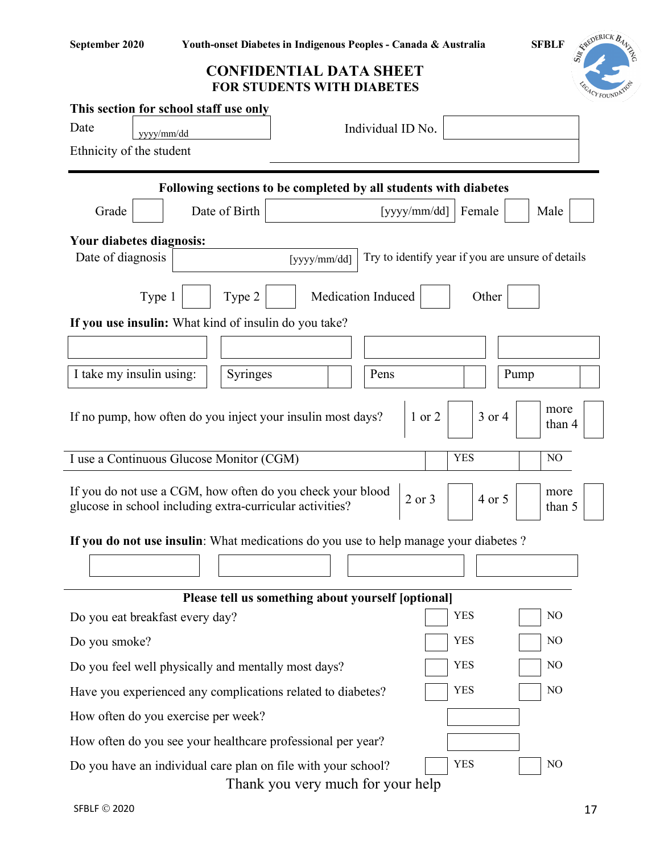REDERICK BA



Thank you very much for your help

ı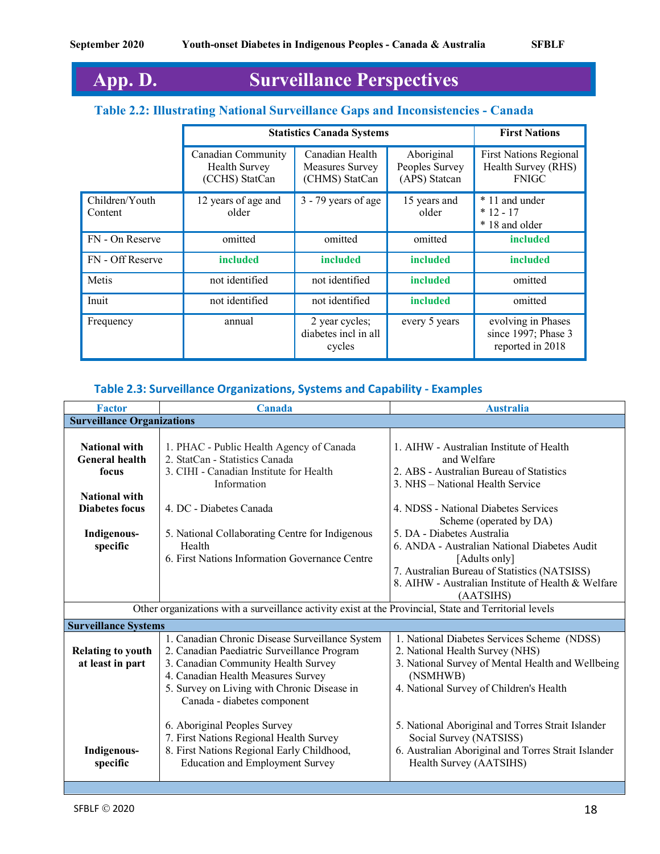# **App. D. Surveillance Perspectives**

## **Table 2.2: Illustrating National Surveillance Gaps and Inconsistencies - Canada**

|                           | <b>Statistics Canada Systems</b>                             |                                                             |                                               | <b>First Nations</b>                                                 |
|---------------------------|--------------------------------------------------------------|-------------------------------------------------------------|-----------------------------------------------|----------------------------------------------------------------------|
|                           | Canadian Community<br><b>Health Survey</b><br>(CCHS) StatCan | Canadian Health<br><b>Measures Survey</b><br>(CHMS) StatCan | Aboriginal<br>Peoples Survey<br>(APS) Statcan | <b>First Nations Regional</b><br>Health Survey (RHS)<br><b>FNIGC</b> |
| Children/Youth<br>Content | 12 years of age and<br>older                                 | 3 - 79 years of age                                         | 15 years and<br>older                         | * 11 and under<br>$*12 - 17$<br>* 18 and older                       |
| FN - On Reserve           | omitted                                                      | omitted                                                     | omitted                                       | included                                                             |
| FN - Off Reserve          | <i>included</i>                                              | included                                                    | included                                      | included                                                             |
| Metis                     | not identified                                               | not identified                                              | included                                      | omitted                                                              |
| Inuit                     | not identified                                               | not identified                                              | included                                      | omitted                                                              |
| Frequency                 | annual                                                       | 2 year cycles;<br>diabetes incl in all<br>cycles            | every 5 years                                 | evolving in Phases<br>since 1997; Phase 3<br>reported in 2018        |

### **Table 2.3: Surveillance Organizations, Systems and Capability - Examples**

| <b>Factor</b>                                                                                          | <b>Canada</b><br><b>Australia</b>                      |                                                     |  |
|--------------------------------------------------------------------------------------------------------|--------------------------------------------------------|-----------------------------------------------------|--|
| <b>Surveillance Organizations</b>                                                                      |                                                        |                                                     |  |
|                                                                                                        |                                                        |                                                     |  |
| <b>National with</b>                                                                                   | 1. PHAC - Public Health Agency of Canada               | 1. AIHW - Australian Institute of Health            |  |
| <b>General health</b>                                                                                  | 2. StatCan - Statistics Canada                         | and Welfare                                         |  |
| focus                                                                                                  | 3. CIHI - Canadian Institute for Health                | 2. ABS - Australian Bureau of Statistics            |  |
|                                                                                                        | Information                                            | 3. NHS – National Health Service                    |  |
| <b>National with</b>                                                                                   |                                                        |                                                     |  |
| <b>Diabetes focus</b>                                                                                  | 4. DC - Diabetes Canada                                | 4. NDSS - National Diabetes Services                |  |
|                                                                                                        |                                                        | Scheme (operated by DA)                             |  |
| Indigenous-                                                                                            | 5. National Collaborating Centre for Indigenous        | 5. DA - Diabetes Australia                          |  |
| specific                                                                                               | 6. ANDA - Australian National Diabetes Audit<br>Health |                                                     |  |
|                                                                                                        | 6. First Nations Information Governance Centre         | [Adults only]                                       |  |
|                                                                                                        |                                                        | 7. Australian Bureau of Statistics (NATSISS)        |  |
|                                                                                                        |                                                        | 8. AIHW - Australian Institute of Health & Welfare  |  |
|                                                                                                        |                                                        | (AATSIHS)                                           |  |
| Other organizations with a surveillance activity exist at the Provincial, State and Territorial levels |                                                        |                                                     |  |
| <b>Surveillance Systems</b>                                                                            |                                                        |                                                     |  |
|                                                                                                        | 1. Canadian Chronic Disease Surveillance System        | 1. National Diabetes Services Scheme (NDSS)         |  |
| <b>Relating to youth</b>                                                                               | 2. Canadian Paediatric Surveillance Program            | 2. National Health Survey (NHS)                     |  |
| at least in part                                                                                       | 3. Canadian Community Health Survey                    | 3. National Survey of Mental Health and Wellbeing   |  |
|                                                                                                        | 4. Canadian Health Measures Survey                     | (NSMHWB)                                            |  |
|                                                                                                        | 5. Survey on Living with Chronic Disease in            | 4. National Survey of Children's Health             |  |
|                                                                                                        | Canada - diabetes component                            |                                                     |  |
|                                                                                                        |                                                        |                                                     |  |
|                                                                                                        | 6. Aboriginal Peoples Survey                           | 5. National Aboriginal and Torres Strait Islander   |  |
|                                                                                                        | 7. First Nations Regional Health Survey                | Social Survey (NATSISS)                             |  |
| Indigenous-                                                                                            | 8. First Nations Regional Early Childhood,             | 6. Australian Aboriginal and Torres Strait Islander |  |
| specific                                                                                               | <b>Education and Employment Survey</b>                 | Health Survey (AATSIHS)                             |  |
|                                                                                                        |                                                        |                                                     |  |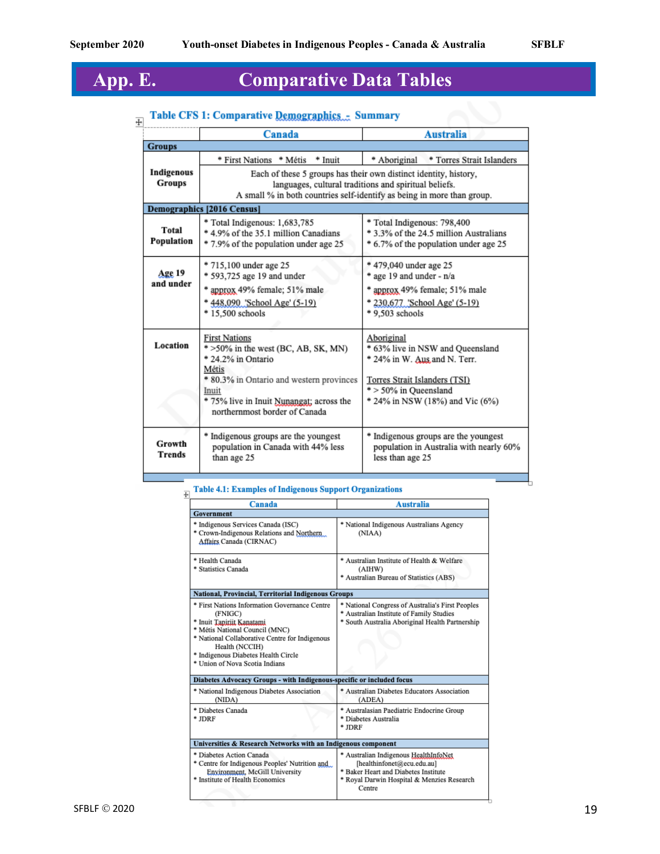# **App. E. Comparative Data Tables**

# **Table CFS 1: Comparative Demographics... Summary**

| <b>Groups</b><br>Indigenous<br>Groups | * First Nations * Métis * Inuit<br><b>Demographics [2016 Census]</b>                                                                                                                                                                                                                                                                                                                                        | * Torres Strait Islanders<br>* Aboriginal<br>Each of these 5 groups has their own distinct identity, history,<br>languages, cultural traditions and spiritual beliefs.<br>A small % in both countries self-identify as being in more than group. |  |
|---------------------------------------|-------------------------------------------------------------------------------------------------------------------------------------------------------------------------------------------------------------------------------------------------------------------------------------------------------------------------------------------------------------------------------------------------------------|--------------------------------------------------------------------------------------------------------------------------------------------------------------------------------------------------------------------------------------------------|--|
|                                       |                                                                                                                                                                                                                                                                                                                                                                                                             |                                                                                                                                                                                                                                                  |  |
|                                       |                                                                                                                                                                                                                                                                                                                                                                                                             |                                                                                                                                                                                                                                                  |  |
|                                       |                                                                                                                                                                                                                                                                                                                                                                                                             |                                                                                                                                                                                                                                                  |  |
| Total<br>Population                   | * Total Indigenous: 1,683,785<br>* 4.9% of the 35.1 million Canadians<br>* 7.9% of the population under age 25                                                                                                                                                                                                                                                                                              | * Total Indigenous: 798,400<br>* 3.3% of the 24.5 million Australians<br>* 6.7% of the population under age 25                                                                                                                                   |  |
| Age 19<br>and under                   | * 715,100 under age 25<br>* 593,725 age 19 and under<br>approx 49% female; 51% male<br>448,090 'School Age' (5-19)<br>* 15,500 schools                                                                                                                                                                                                                                                                      | * 479,040 under age 25<br>age 19 and under - n/a<br>approx 49% female; 51% male<br>* 230,677 'School Age' (5-19)<br>* 9,503 schools                                                                                                              |  |
| Location                              | <b>First Nations</b><br>Aboriginal<br>* >50% in the west (BC, AB, SK, MN)<br>* 63% live in NSW and Queensland<br>* 24.2% in Ontario<br>* 24% in W. Aus and N. Terr.<br>Métis<br>* 80.3% in Ontario and western provinces<br>Torres Strait Islanders (TSI)<br>* > 50% in Queensland<br>Inuit<br>* 75% live in Inuit Nunangat; across the<br>* 24% in NSW (18%) and Vic (6%)<br>northernmost border of Canada |                                                                                                                                                                                                                                                  |  |
| Growth<br><b>Trends</b>               | * Indigenous groups are the youngest<br>population in Canada with 44% less<br>than age 25                                                                                                                                                                                                                                                                                                                   | * Indigenous groups are the youngest<br>population in Australia with nearly 60%<br>less than age 25                                                                                                                                              |  |

# $\frac{1}{2}$  Table 4.1: Examples of Indigenous Support Organizations

| Canada                                                                                                                                                                                                                                                               | <b>Australia</b>                                                                                                                                                    |  |
|----------------------------------------------------------------------------------------------------------------------------------------------------------------------------------------------------------------------------------------------------------------------|---------------------------------------------------------------------------------------------------------------------------------------------------------------------|--|
| Government                                                                                                                                                                                                                                                           |                                                                                                                                                                     |  |
| Indigenous Services Canada (ISC)<br>Crown-Indigenous Relations and Northern<br>Affairs Canada (CIRNAC)                                                                                                                                                               | * National Indigenous Australians Agency<br>(NIAA)                                                                                                                  |  |
| * Health Canada<br>* Statistics Canada                                                                                                                                                                                                                               | * Australian Institute of Health & Welfare<br>(AIHW)<br>* Australian Bureau of Statistics (ABS)                                                                     |  |
| National, Provincial, Territorial Indigenous Groups                                                                                                                                                                                                                  |                                                                                                                                                                     |  |
| * First Nations Information Governance Centre<br>(FNIGC)<br>* Inuit Taniriit Kanatami<br>* Métis National Council (MNC)<br>* National Collaborative Centre for Indigenous<br>Health (NCCIH)<br>* Indigenous Diabetes Health Circle<br>* Union of Nova Scotia Indians | National Congress of Australia's First Peoples<br>* Australian Institute of Family Studies<br>* South Australia Aboriginal Health Partnership                       |  |
| Diabetes Advocacy Groups - with Indigenous-specific or included focus                                                                                                                                                                                                |                                                                                                                                                                     |  |
| * National Indigenous Diabetes Association<br>(NIDA)                                                                                                                                                                                                                 | * Australian Diabetes Educators Association<br>(ADEA)                                                                                                               |  |
| * Diabetes Canada<br>$*$ JDRF                                                                                                                                                                                                                                        | * Australasian Paediatric Endocrine Group<br>* Diabetes Australia<br>$*$ JDRF                                                                                       |  |
| Universities & Research Networks with an Indigenous component                                                                                                                                                                                                        |                                                                                                                                                                     |  |
| * Diabetes Action Canada<br>* Centre for Indigenous Peoples' Nutrition and<br>Environment, McGill University<br>* Institute of Health Economics                                                                                                                      | * Australian Indigenous HealthInfoNet<br>[healthinfonet@ecu.edu.au]<br>* Baker Heart and Diabetes Institute<br>* Royal Darwin Hospital & Menzies Research<br>Centre |  |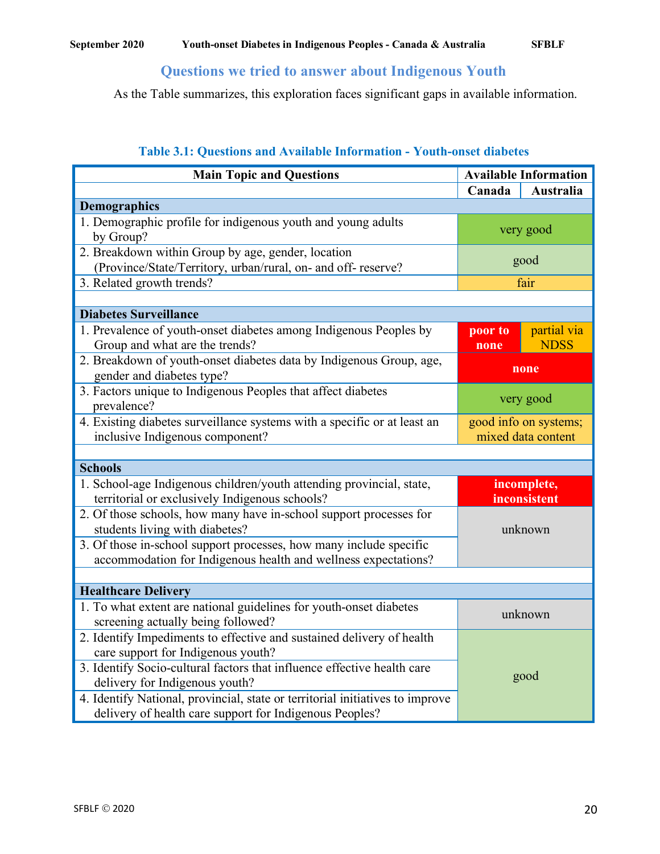### **Questions we tried to answer about Indigenous Youth**

As the Table summarizes, this exploration faces significant gaps in available information.

| <b>Main Topic and Questions</b>                                                                                                          |                 | <b>Available Information</b>                |
|------------------------------------------------------------------------------------------------------------------------------------------|-----------------|---------------------------------------------|
|                                                                                                                                          | Canada          | Australia                                   |
| <b>Demographics</b>                                                                                                                      |                 |                                             |
| 1. Demographic profile for indigenous youth and young adults<br>by Group?                                                                |                 | very good                                   |
| 2. Breakdown within Group by age, gender, location<br>(Province/State/Territory, urban/rural, on- and off-reserve?                       |                 | good                                        |
| 3. Related growth trends?                                                                                                                |                 | fair                                        |
|                                                                                                                                          |                 |                                             |
| <b>Diabetes Surveillance</b>                                                                                                             |                 |                                             |
| 1. Prevalence of youth-onset diabetes among Indigenous Peoples by<br>Group and what are the trends?                                      | poor to<br>none | partial via<br><b>NDSS</b>                  |
| 2. Breakdown of youth-onset diabetes data by Indigenous Group, age,<br>gender and diabetes type?                                         |                 | none                                        |
| 3. Factors unique to Indigenous Peoples that affect diabetes<br>prevalence?                                                              |                 | very good                                   |
| 4. Existing diabetes surveillance systems with a specific or at least an<br>inclusive Indigenous component?                              |                 | good info on systems;<br>mixed data content |
|                                                                                                                                          |                 |                                             |
| <b>Schools</b>                                                                                                                           |                 |                                             |
| 1. School-age Indigenous children/youth attending provincial, state,<br>territorial or exclusively Indigenous schools?                   |                 | incomplete,<br>inconsistent                 |
| 2. Of those schools, how many have in-school support processes for<br>students living with diabetes?                                     | unknown         |                                             |
| 3. Of those in-school support processes, how many include specific<br>accommodation for Indigenous health and wellness expectations?     |                 |                                             |
|                                                                                                                                          |                 |                                             |
| <b>Healthcare Delivery</b>                                                                                                               |                 |                                             |
| 1. To what extent are national guidelines for youth-onset diabetes<br>screening actually being followed?                                 |                 | unknown                                     |
| 2. Identify Impediments to effective and sustained delivery of health<br>care support for Indigenous youth?                              |                 |                                             |
| 3. Identify Socio-cultural factors that influence effective health care<br>delivery for Indigenous youth?                                | good            |                                             |
| 4. Identify National, provincial, state or territorial initiatives to improve<br>delivery of health care support for Indigenous Peoples? |                 |                                             |

#### **Table 3.1: Questions and Available Information - Youth-onset diabetes**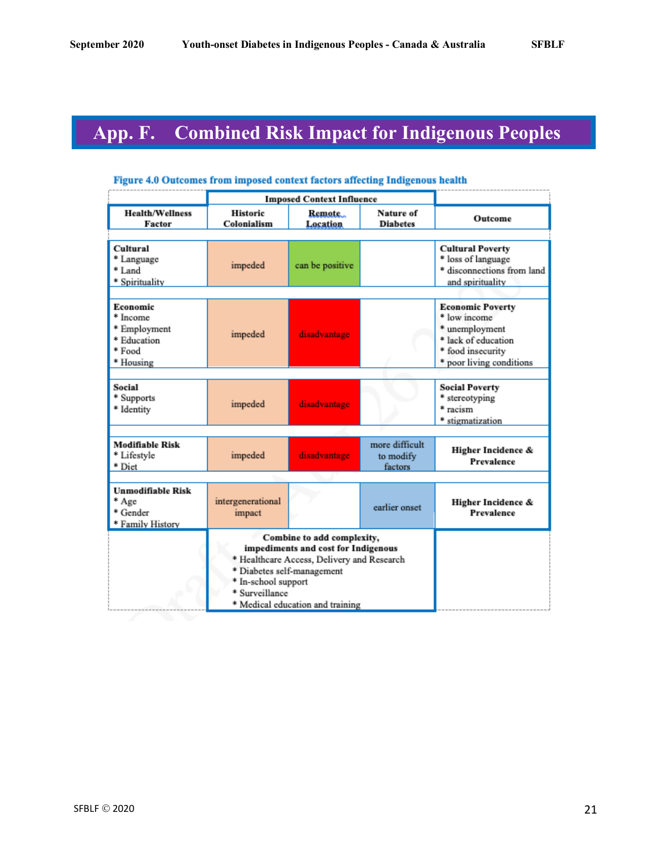# **App. F. Combined Risk Impact for Indigenous Peoples**

|                                                                            | <b>Imposed Context Influence</b>                                                                                                                                                                                           |                     |                                        |                                                                                                                                   |
|----------------------------------------------------------------------------|----------------------------------------------------------------------------------------------------------------------------------------------------------------------------------------------------------------------------|---------------------|----------------------------------------|-----------------------------------------------------------------------------------------------------------------------------------|
| <b>Health/Wellness</b><br>Factor                                           | <b>Historic</b><br>Colonialism                                                                                                                                                                                             | Remote.<br>Location | Nature of<br><b>Diabetes</b>           | Outcome                                                                                                                           |
| Cultural<br>* Language<br>* Land<br>* Spirituality                         | impeded                                                                                                                                                                                                                    | can be positive     |                                        | <b>Cultural Poverty</b><br>* loss of language<br>* disconnections from land<br>and spirituality                                   |
| Economic<br>* Income<br>* Employment<br>* Education<br>* Food<br>* Housing | impeded                                                                                                                                                                                                                    | disadvantage        |                                        | <b>Economic Poverty</b><br>* low income<br>* unemployment<br>* lack of education<br>* food insecurity<br>* poor living conditions |
| Social<br>* Supports<br>* Identity                                         | impeded                                                                                                                                                                                                                    | disadvantage        |                                        | <b>Social Poverty</b><br>* stereotyping<br>* racism<br>* stigmatization                                                           |
| Modifiable Risk<br>* Lifestyle<br>* Diet                                   | impeded                                                                                                                                                                                                                    | disadvantage        | more difficult<br>to modify<br>factors | Higher Incidence &<br>Prevalence                                                                                                  |
|                                                                            |                                                                                                                                                                                                                            |                     |                                        |                                                                                                                                   |
| <b>Unmodifiable Risk</b><br>* Age<br>* Gender<br>* Family History          | intergenerational<br>impact                                                                                                                                                                                                |                     | earlier onset                          | Higher Incidence &<br>Prevalence                                                                                                  |
|                                                                            | Combine to add complexity,<br>impediments and cost for Indigenous<br>* Healthcare Access, Delivery and Research<br>* Diabetes self-management<br>* In-school support<br>* Surveillance<br>* Medical education and training |                     |                                        |                                                                                                                                   |

#### Figure 4.0 Outcomes from imposed context factors affecting Indigenous health